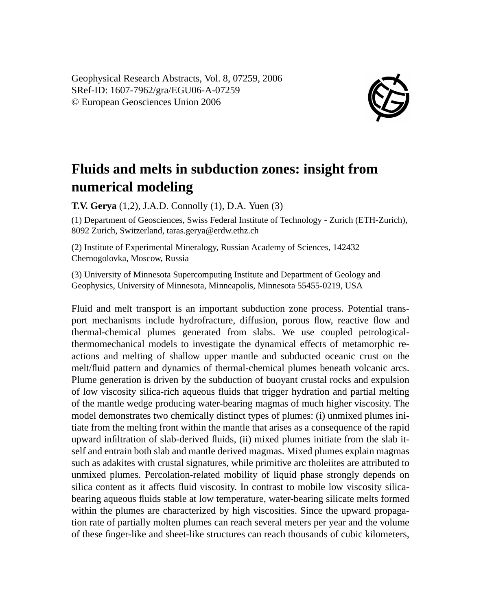Geophysical Research Abstracts, Vol. 8, 07259, 2006 SRef-ID: 1607-7962/gra/EGU06-A-07259 © European Geosciences Union 2006



## **Fluids and melts in subduction zones: insight from numerical modeling**

**T.V. Gerya** (1,2), J.A.D. Connolly (1), D.A. Yuen (3)

(1) Department of Geosciences, Swiss Federal Institute of Technology - Zurich (ETH-Zurich), 8092 Zurich, Switzerland, taras.gerya@erdw.ethz.ch

(2) Institute of Experimental Mineralogy, Russian Academy of Sciences, 142432 Chernogolovka, Moscow, Russia

(3) University of Minnesota Supercomputing Institute and Department of Geology and Geophysics, University of Minnesota, Minneapolis, Minnesota 55455-0219, USA

Fluid and melt transport is an important subduction zone process. Potential transport mechanisms include hydrofracture, diffusion, porous flow, reactive flow and thermal-chemical plumes generated from slabs. We use coupled petrologicalthermomechanical models to investigate the dynamical effects of metamorphic reactions and melting of shallow upper mantle and subducted oceanic crust on the melt/fluid pattern and dynamics of thermal-chemical plumes beneath volcanic arcs. Plume generation is driven by the subduction of buoyant crustal rocks and expulsion of low viscosity silica-rich aqueous fluids that trigger hydration and partial melting of the mantle wedge producing water-bearing magmas of much higher viscosity. The model demonstrates two chemically distinct types of plumes: (i) unmixed plumes initiate from the melting front within the mantle that arises as a consequence of the rapid upward infiltration of slab-derived fluids, (ii) mixed plumes initiate from the slab itself and entrain both slab and mantle derived magmas. Mixed plumes explain magmas such as adakites with crustal signatures, while primitive arc tholeiites are attributed to unmixed plumes. Percolation-related mobility of liquid phase strongly depends on silica content as it affects fluid viscosity. In contrast to mobile low viscosity silicabearing aqueous fluids stable at low temperature, water-bearing silicate melts formed within the plumes are characterized by high viscosities. Since the upward propagation rate of partially molten plumes can reach several meters per year and the volume of these finger-like and sheet-like structures can reach thousands of cubic kilometers,